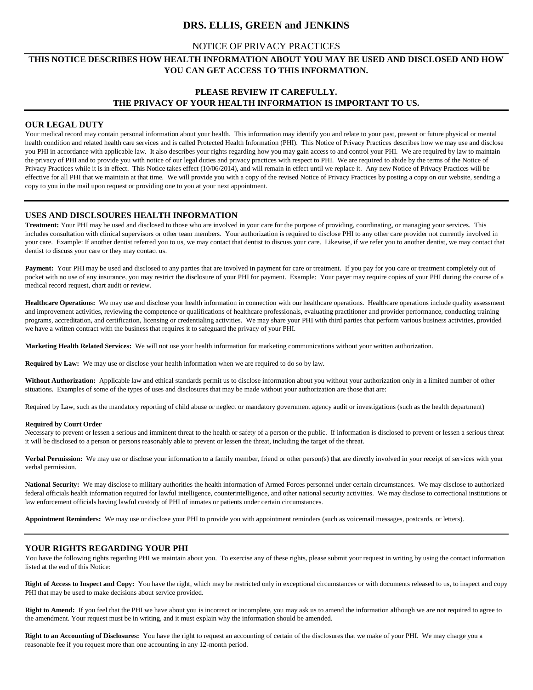# **DRS. ELLIS, GREEN and JENKINS**

## NOTICE OF PRIVACY PRACTICES

## **THIS NOTICE DESCRIBES HOW HEALTH INFORMATION ABOUT YOU MAY BE USED AND DISCLOSED AND HOW YOU CAN GET ACCESS TO THIS INFORMATION.**

# **PLEASE REVIEW IT CAREFULLY. THE PRIVACY OF YOUR HEALTH INFORMATION IS IMPORTANT TO US.**

### **OUR LEGAL DUTY**

Your medical record may contain personal information about your health. This information may identify you and relate to your past, present or future physical or mental health condition and related health care services and is called Protected Health Information (PHI). This Notice of Privacy Practices describes how we may use and disclose you PHI in accordance with applicable law. It also describes your rights regarding how you may gain access to and control your PHI. We are required by law to maintain the privacy of PHI and to provide you with notice of our legal duties and privacy practices with respect to PHI. We are required to abide by the terms of the Notice of Privacy Practices while it is in effect. This Notice takes effect (10/06/2014), and will remain in effect until we replace it. Any new Notice of Privacy Practices will be effective for all PHI that we maintain at that time. We will provide you with a copy of the revised Notice of Privacy Practices by posting a copy on our website, sending a copy to you in the mail upon request or providing one to you at your next appointment.

### **USES AND DISCLSOURES HEALTH INFORMATION**

**Treatment:** Your PHI may be used and disclosed to those who are involved in your care for the purpose of providing, coordinating, or managing your services. This includes consultation with clinical supervisors or other team members. Your authorization is required to disclose PHI to any other care provider not currently involved in your care. Example: If another dentist referred you to us, we may contact that dentist to discuss your care. Likewise, if we refer you to another dentist, we may contact that dentist to discuss your care or they may contact us.

Payment: Your PHI may be used and disclosed to any parties that are involved in payment for care or treatment. If you pay for you care or treatment completely out of pocket with no use of any insurance, you may restrict the disclosure of your PHI for payment. Example: Your payer may require copies of your PHI during the course of a medical record request, chart audit or review.

Healthcare Operations: We may use and disclose your health information in connection with our healthcare operations. Healthcare operations include quality assessment and improvement activities, reviewing the competence or qualifications of healthcare professionals, evaluating practitioner and provider performance, conducting training programs, accreditation, and certification, licensing or credentialing activities. We may share your PHI with third parties that perform various business activities, provided we have a written contract with the business that requires it to safeguard the privacy of your PHI.

**Marketing Health Related Services:** We will not use your health information for marketing communications without your written authorization.

**Required by Law:** We may use or disclose your health information when we are required to do so by law.

**Without Authorization:** Applicable law and ethical standards permit us to disclose information about you without your authorization only in a limited number of other situations. Examples of some of the types of uses and disclosures that may be made without your authorization are those that are:

Required by Law, such as the mandatory reporting of child abuse or neglect or mandatory government agency audit or investigations (such as the health department)

#### **Required by Court Order**

Necessary to prevent or lessen a serious and imminent threat to the health or safety of a person or the public. If information is disclosed to prevent or lessen a serious threat it will be disclosed to a person or persons reasonably able to prevent or lessen the threat, including the target of the threat.

**Verbal Permission:** We may use or disclose your information to a family member, friend or other person(s) that are directly involved in your receipt of services with your verbal permission.

National Security: We may disclose to military authorities the health information of Armed Forces personnel under certain circumstances. We may disclose to authorized federal officials health information required for lawful intelligence, counterintelligence, and other national security activities. We may disclose to correctional institutions or law enforcement officials having lawful custody of PHI of inmates or patients under certain circumstances.

**Appointment Reminders:** We may use or disclose your PHI to provide you with appointment reminders (such as voicemail messages, postcards, or letters).

## **YOUR RIGHTS REGARDING YOUR PHI**

You have the following rights regarding PHI we maintain about you. To exercise any of these rights, please submit your request in writing by using the contact information listed at the end of this Notice:

**Right of Access to Inspect and Copy:** You have the right, which may be restricted only in exceptional circumstances or with documents released to us, to inspect and copy PHI that may be used to make decisions about service provided.

**Right to Amend:** If you feel that the PHI we have about you is incorrect or incomplete, you may ask us to amend the information although we are not required to agree to the amendment. Your request must be in writing, and it must explain why the information should be amended.

**Right to an Accounting of Disclosures:** You have the right to request an accounting of certain of the disclosures that we make of your PHI. We may charge you a reasonable fee if you request more than one accounting in any 12-month period.